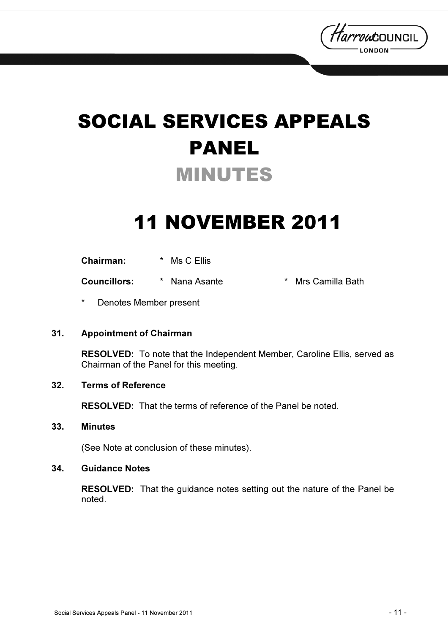

# SOCIAL SERVICES APPEALS PANEL MINUTES

# 11 NOVEMBER 2011

Chairman: \* Ms C Ellis

Councillors: \* Nana Asante \* Mrs Camilla Bath

Denotes Member present

# 31. Appointment of Chairman

RESOLVED: To note that the Independent Member, Caroline Ellis, served as Chairman of the Panel for this meeting.

# 32. Terms of Reference

RESOLVED: That the terms of reference of the Panel be noted.

#### 33. Minutes

(See Note at conclusion of these minutes).

## 34. Guidance Notes

RESOLVED: That the guidance notes setting out the nature of the Panel be noted.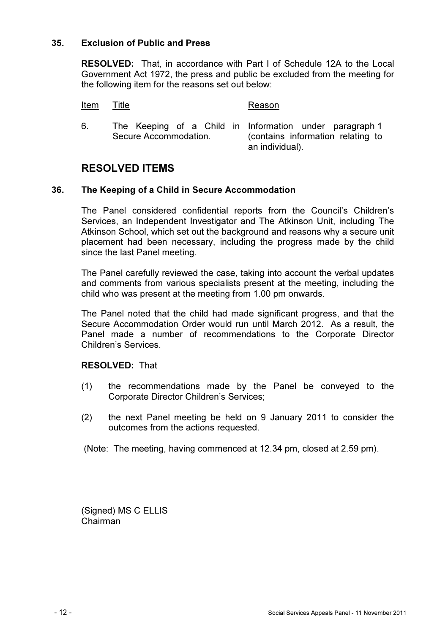## 35. Exclusion of Public and Press

RESOLVED: That, in accordance with Part I of Schedule 12A to the Local Government Act 1972, the press and public be excluded from the meeting for the following item for the reasons set out below:

Item Title **Reason** 

6. The Keeping of a Child in Information under paragraph 1 Secure Accommodation. (contains information relating to an individual).

# RESOLVED ITEMS

## 36. The Keeping of a Child in Secure Accommodation

The Panel considered confidential reports from the Council's Children's Services, an Independent Investigator and The Atkinson Unit, including The Atkinson School, which set out the background and reasons why a secure unit placement had been necessary, including the progress made by the child since the last Panel meeting.

The Panel carefully reviewed the case, taking into account the verbal updates and comments from various specialists present at the meeting, including the child who was present at the meeting from 1.00 pm onwards.

The Panel noted that the child had made significant progress, and that the Secure Accommodation Order would run until March 2012. As a result, the Panel made a number of recommendations to the Corporate Director Children's Services.

RESOLVED: That

- (1) the recommendations made by the Panel be conveyed to the Corporate Director Children's Services;
- (2) the next Panel meeting be held on 9 January 2011 to consider the outcomes from the actions requested.

(Note: The meeting, having commenced at 12.34 pm, closed at 2.59 pm).

(Signed) MS C ELLIS Chairman